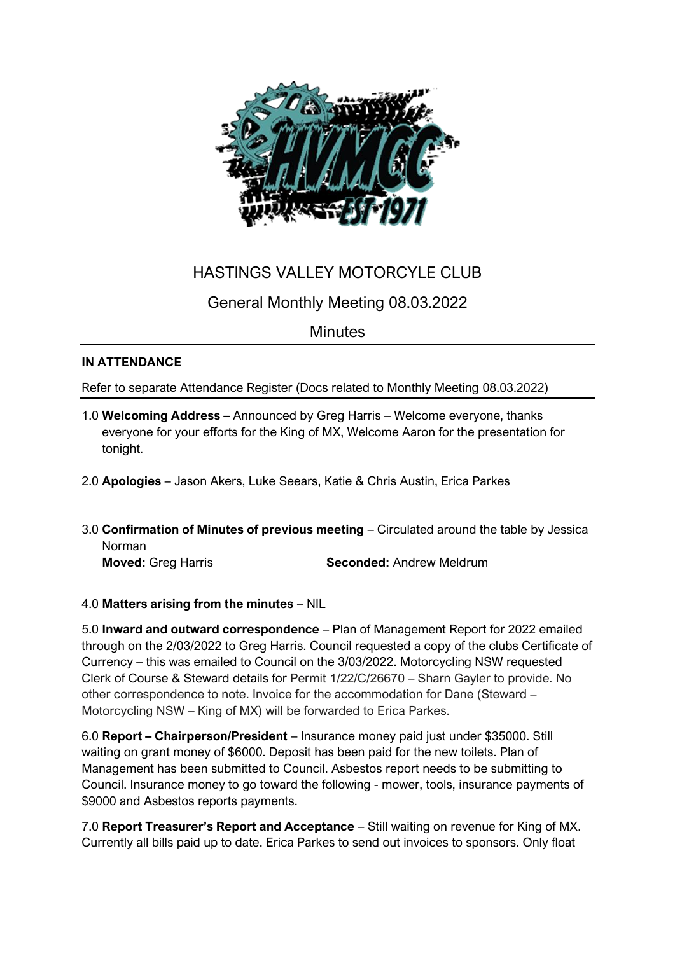

# HASTINGS VALLEY MOTORCYLE CLUB

# General Monthly Meeting 08.03.2022

### **Minutes**

### **IN ATTENDANCE**

Refer to separate Attendance Register (Docs related to Monthly Meeting 08.03.2022)

- 1.0 **Welcoming Address –** Announced by Greg Harris Welcome everyone, thanks everyone for your efforts for the King of MX, Welcome Aaron for the presentation for tonight.
- 2.0 **Apologies** Jason Akers, Luke Seears, Katie & Chris Austin, Erica Parkes
- 3.0 **Confirmation of Minutes of previous meeting** Circulated around the table by Jessica Norman

**Moved:** Greg Harris **Seconded:** Andrew Meldrum

### 4.0 **Matters arising from the minutes** – NIL

5.0 **Inward and outward correspondence** – Plan of Management Report for 2022 emailed through on the 2/03/2022 to Greg Harris. Council requested a copy of the clubs Certificate of Currency – this was emailed to Council on the 3/03/2022. Motorcycling NSW requested Clerk of Course & Steward details for Permit 1/22/C/26670 – Sharn Gayler to provide. No other correspondence to note. Invoice for the accommodation for Dane (Steward – Motorcycling NSW – King of MX) will be forwarded to Erica Parkes.

6.0 **Report – Chairperson/President** – Insurance money paid just under \$35000. Still waiting on grant money of \$6000. Deposit has been paid for the new toilets. Plan of Management has been submitted to Council. Asbestos report needs to be submitting to Council. Insurance money to go toward the following - mower, tools, insurance payments of \$9000 and Asbestos reports payments.

7.0 **Report Treasurer's Report and Acceptance** – Still waiting on revenue for King of MX. Currently all bills paid up to date. Erica Parkes to send out invoices to sponsors. Only float